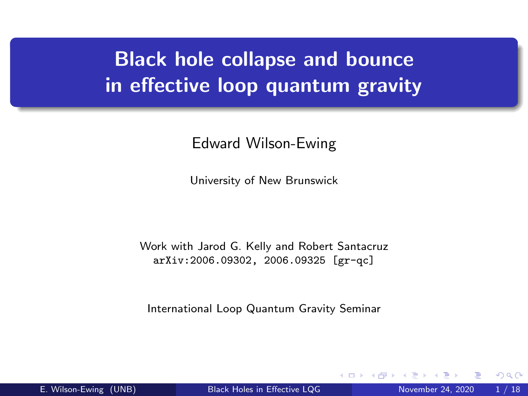# Black hole collapse and bounce in effective loop quantum gravity

#### Edward Wilson-Ewing

University of New Brunswick

Work with Jarod G. Kelly and Robert Santacruz arXiv:2006.09302, 2006.09325 [gr-qc]

<span id="page-0-0"></span>International Loop Quantum Gravity Seminar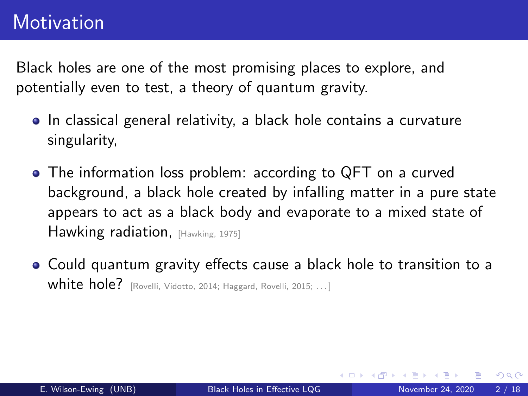Black holes are one of the most promising places to explore, and potentially even to test, a theory of quantum gravity.

- In classical general relativity, a black hole contains a curvature singularity,
- The information loss problem: according to QFT on a curved background, a black hole created by infalling matter in a pure state appears to act as a black body and evaporate to a mixed state of Hawking radiation, [Hawking, 1975]
- Could quantum gravity effects cause a black hole to transition to a White hole? [Rovelli, Vidotto, 2014; Haggard, Rovelli, 2015; ...]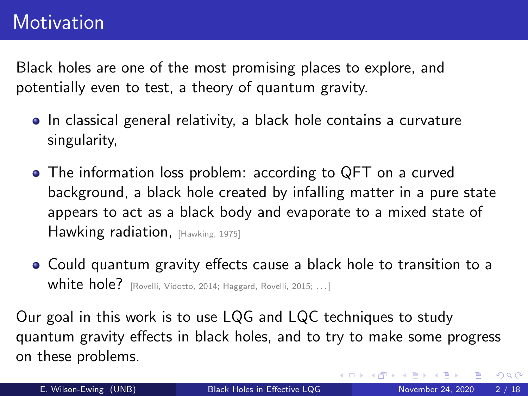Black holes are one of the most promising places to explore, and potentially even to test, a theory of quantum gravity.

- In classical general relativity, a black hole contains a curvature singularity,
- The information loss problem: according to QFT on a curved background, a black hole created by infalling matter in a pure state appears to act as a black body and evaporate to a mixed state of Hawking radiation, [Hawking, 1975]
- Could quantum gravity effects cause a black hole to transition to a **white hole?** [Rovelli, Vidotto, 2014; Haggard, Rovelli, 2015; ...]

Our goal in this work is to use LQG and LQC techniques to study quantum gravity effects in black holes, and to try to make some progress on these problems.

 $QQ$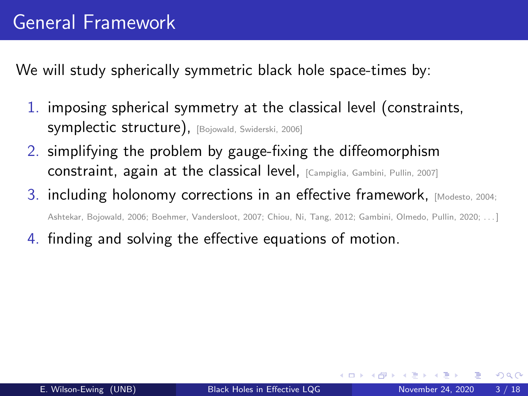We will study spherically symmetric black hole space-times by:

- 1. imposing spherical symmetry at the classical level (constraints, symplectic structure), [Bojowald, Swiderski, 2006]
- 2. simplifying the problem by gauge-fixing the diffeomorphism constraint, again at the classical level, [Campiglia, Gambini, Pullin, 2007]
- 3. including holonomy corrections in an effective framework, [Modesto, 2004; Ashtekar, Bojowald, 2006; Boehmer, Vandersloot, 2007; Chiou, Ni, Tang, 2012; Gambini, Olmedo, Pullin, 2020; . . . ]
- 4. finding and solving the effective equations of motion.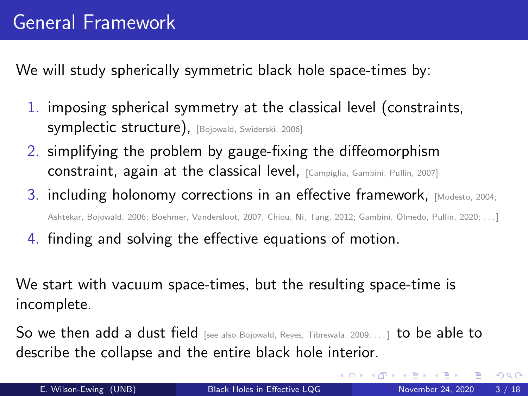We will study spherically symmetric black hole space-times by:

- 1. imposing spherical symmetry at the classical level (constraints, symplectic structure), [Bojowald, Swiderski, 2006]
- 2. simplifying the problem by gauge-fixing the diffeomorphism constraint, again at the classical level, [Campiglia, Gambini, Pullin, 2007]
- 3. including holonomy corrections in an effective framework, [Modesto, 2004; Ashtekar, Bojowald, 2006; Boehmer, Vandersloot, 2007; Chiou, Ni, Tang, 2012; Gambini, Olmedo, Pullin, 2020; . . . ]
- 4. finding and solving the effective equations of motion.

We start with vacuum space-times, but the resulting space-time is incomplete.

So we then add a dust field [see also Bojowald, Reyes, Tibrewala, 2009; ...] to be able to describe the collapse and the entire black hole interior.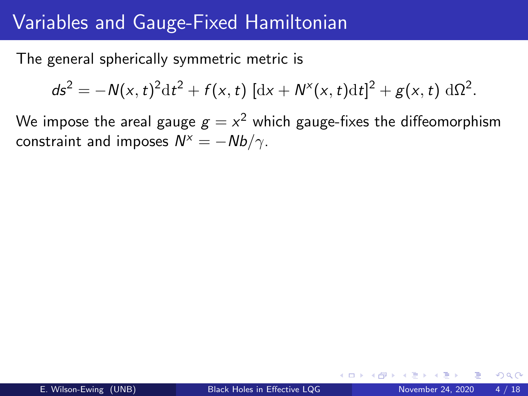#### Variables and Gauge-Fixed Hamiltonian

The general spherically symmetric metric is

$$
ds^{2} = -N(x, t)^{2}dt^{2} + f(x, t) [dx + N^{x}(x, t)dt]^{2} + g(x, t) d\Omega^{2}.
$$

We impose the areal gauge  $\displaystyle{g=x^2}$  which gauge-fixes the diffeomorphism constraint and imposes  $N^x = -Nb/\gamma$ .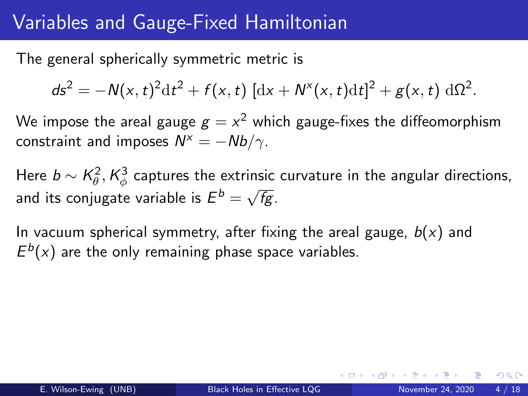#### Variables and Gauge-Fixed Hamiltonian

The general spherically symmetric metric is

$$
ds^{2} = -N(x, t)^{2}dt^{2} + f(x, t)[dx + N^{x}(x, t)dt]^{2} + g(x, t) d\Omega^{2}.
$$

We impose the areal gauge  $\displaystyle{g=x^2}$  which gauge-fixes the diffeomorphism constraint and imposes  $N^x = -Nb/\gamma$ .

Here  $b\sim \mathcal{K}^2_\theta, \mathcal{K}^3_\phi$  captures the extrinsic curvature in the angular directions, and its conjugate variable is  $E^b = \sqrt{2}$ fg.

In vacuum spherical symmetry, after fixing the areal gauge,  $b(x)$  and  $E^{b}(x)$  are the only remaining phase space variables.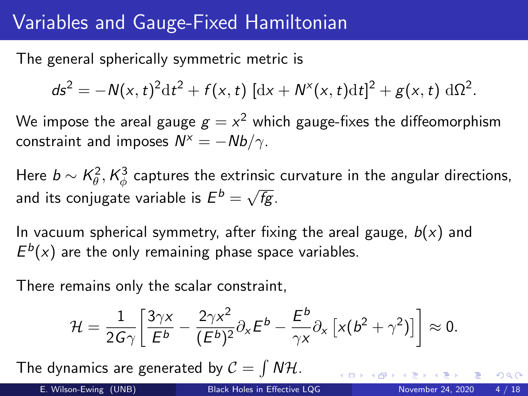## Variables and Gauge-Fixed Hamiltonian

The general spherically symmetric metric is

$$
ds^{2} = -N(x, t)^{2}dt^{2} + f(x, t)[dx + N^{x}(x, t)dt]^{2} + g(x, t) d\Omega^{2}.
$$

We impose the areal gauge  $\displaystyle{g=x^2}$  which gauge-fixes the diffeomorphism constraint and imposes  $N^x = -Nb/\gamma$ .

Here  $b\sim \mathcal{K}^2_\theta, \mathcal{K}^3_\phi$  captures the extrinsic curvature in the angular directions, and its conjugate variable is  $E^b = \sqrt{2}$ fg.

In vacuum spherical symmetry, after fixing the areal gauge,  $b(x)$  and  $E^{b}(x)$  are the only remaining phase space variables.

There remains only the scalar constraint,

$$
\mathcal{H} = \frac{1}{2G\gamma} \bigg[ \frac{3\gamma x}{E^b} - \frac{2\gamma x^2}{(E^b)^2} \partial_x E^b - \frac{E^b}{\gamma x} \partial_x \left[ x (b^2 + \gamma^2) \right] \bigg] \approx 0.
$$

The dynamics are generated by  $\mathcal{C} = \int N \mathcal{H}$ .

 $QQ$ 

 $4$  (D)  $\rightarrow$   $4$  (D)  $\rightarrow$   $\rightarrow$  (E)  $\rightarrow$  (E)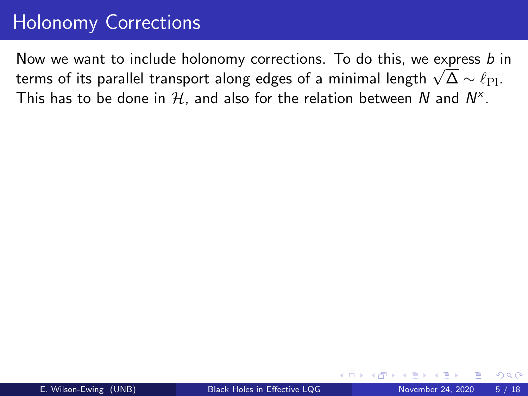#### Holonomy Corrections

Now we want to include holonomy corrections. To do this, we express b in The weak want to include notonomy corrections. To do this, we express *D* is therms of its parallel transport along edges of a minimal length  $\sqrt{\Delta} \sim \ell_{\text{Pl}}$ . This has to be done in  $\mathcal H$ , and also for the relation between  $N$  and  $N^\times.$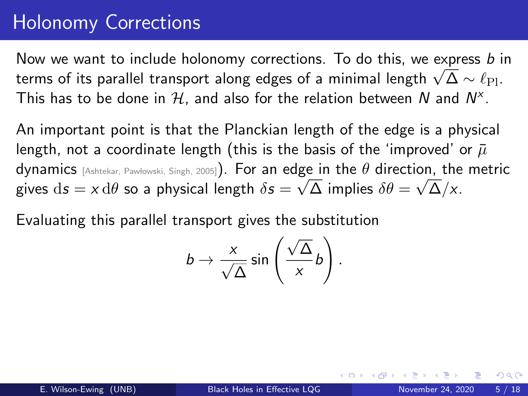#### Holonomy Corrections

Now we want to include holonomy corrections. To do this, we express  $b$  in The weak want to include notonomy corrections. To do this, we express *D* is therms of its parallel transport along edges of a minimal length  $\sqrt{\Delta} \sim \ell_{\text{Pl}}$ . This has to be done in  $\mathcal H$ , and also for the relation between  $N$  and  $N^\times.$ 

An important point is that the Planckian length of the edge is a physical length, not a coordinate length (this is the basis of the 'improved' or  $\bar{u}$ dynamics [Ashtekar, Pawłowski, Singh, 2005]). For an edge in the  $\theta$  direction, the metric gives  $\mathrm{d} s = \mathsf{x} \, \mathrm{d} \theta$  so a physical length  $\delta s = \sqrt{\Delta}$  implies  $\delta \theta = \sqrt{\Delta}/\mathsf{x}.$ 

Evaluating this parallel transport gives the substitution

$$
b \to \frac{x}{\sqrt{\Delta}} \sin\left(\frac{\sqrt{\Delta}}{x}b\right).
$$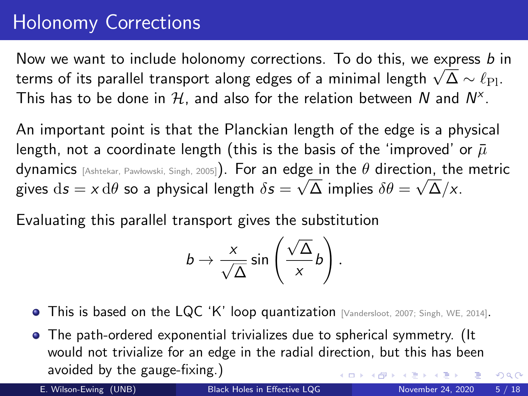#### Holonomy Corrections

Now we want to include holonomy corrections. To do this, we express  $b$  in The weak want to include notonomy corrections. To do this, we express *D* is therms of its parallel transport along edges of a minimal length  $\sqrt{\Delta} \sim \ell_{\text{Pl}}$ . This has to be done in  $\mathcal H$ , and also for the relation between  $N$  and  $N^\times.$ 

An important point is that the Planckian length of the edge is a physical length, not a coordinate length (this is the basis of the 'improved' or  $\bar{\mu}$ dynamics [Ashtekar, Pawłowski, Singh, 2005]). For an edge in the  $\theta$  direction, the metric gives  $\mathrm{d} s = \mathsf{x} \, \mathrm{d} \theta$  so a physical length  $\delta s = \sqrt{\Delta}$  implies  $\delta \theta = \sqrt{\Delta}/\mathsf{x}.$ 

Evaluating this parallel transport gives the substitution

$$
b \to \frac{x}{\sqrt{\Delta}} \sin\left(\frac{\sqrt{\Delta}}{x}b\right).
$$

- This is based on the LQC 'K' loop quantization [Vandersloot, 2007; Singh, WE, 2014].
- The path-ordered exponential trivializes due to spherical symmetry. (It would not trivialize for an edge in the radial direction, but this has been avoided by the gauge-fixing.)

 $QQ$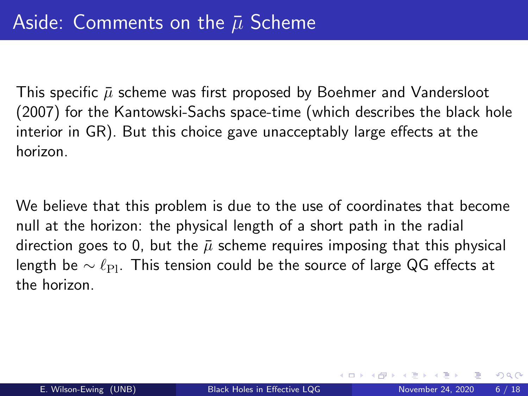This specific  $\bar{\mu}$  scheme was first proposed by Boehmer and Vandersloot (2007) for the Kantowski-Sachs space-time (which describes the black hole interior in GR). But this choice gave unacceptably large effects at the horizon.

We believe that this problem is due to the use of coordinates that become null at the horizon: the physical length of a short path in the radial direction goes to 0, but the  $\bar{\mu}$  scheme requires imposing that this physical length be  $\sim \ell_{\rm Pl}$ . This tension could be the source of large QG effects at the horizon.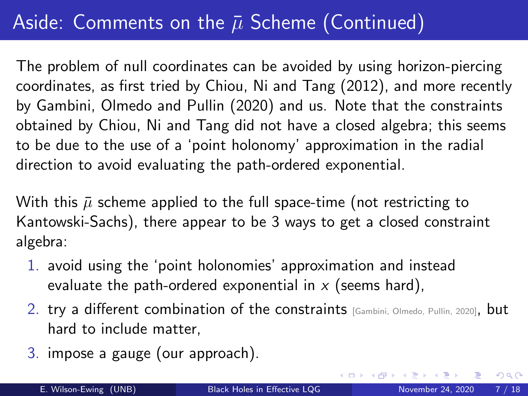# Aside: Comments on the  $\bar{\mu}$  Scheme (Continued)

The problem of null coordinates can be avoided by using horizon-piercing coordinates, as first tried by Chiou, Ni and Tang (2012), and more recently by Gambini, Olmedo and Pullin (2020) and us. Note that the constraints obtained by Chiou, Ni and Tang did not have a closed algebra; this seems to be due to the use of a 'point holonomy' approximation in the radial direction to avoid evaluating the path-ordered exponential.

With this  $\bar{\mu}$  scheme applied to the full space-time (not restricting to Kantowski-Sachs), there appear to be 3 ways to get a closed constraint algebra:

- 1. avoid using the 'point holonomies' approximation and instead evaluate the path-ordered exponential in  $x$  (seems hard),
- 2. try a different combination of the constraints [Gambini, Olmedo, Pullin, 2020], but hard to include matter,
- 3. impose a gauge (our approach).

 $\Omega$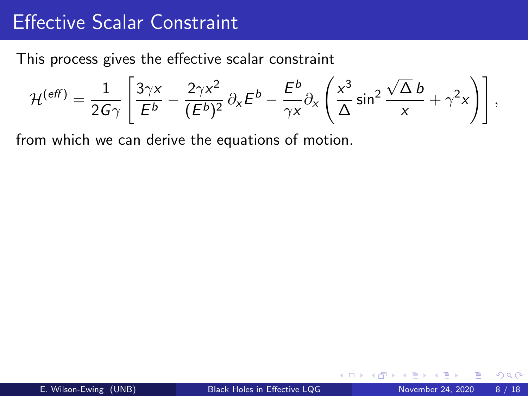#### Effective Scalar Constraint

This process gives the effective scalar constraint

$$
\mathcal{H}^{(eff)} = \frac{1}{2G\gamma} \left[ \frac{3\gamma x}{E^b} - \frac{2\gamma x^2}{(E^b)^2} \partial_x E^b - \frac{E^b}{\gamma x} \partial_x \left( \frac{x^3}{\Delta} \sin^2 \frac{\sqrt{\Delta} b}{x} + \gamma^2 x \right) \right],
$$

from which we can derive the equations of motion.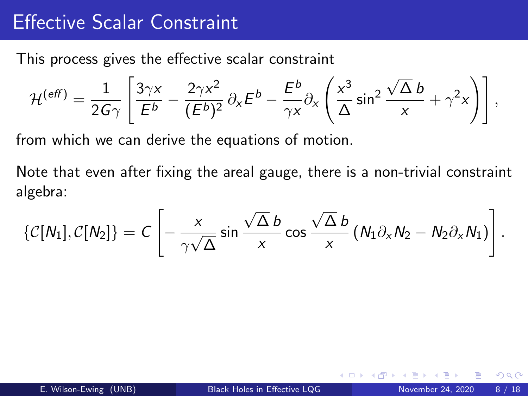#### Effective Scalar Constraint

This process gives the effective scalar constraint

$$
\mathcal{H}^{(eff)} = \frac{1}{2G\gamma} \left[ \frac{3\gamma x}{E^b} - \frac{2\gamma x^2}{(E^b)^2} \partial_x E^b - \frac{E^b}{\gamma x} \partial_x \left( \frac{x^3}{\Delta} \sin^2 \frac{\sqrt{\Delta} b}{x} + \gamma^2 x \right) \right],
$$

from which we can derive the equations of motion.

Note that even after fixing the areal gauge, there is a non-trivial constraint algebra:

$$
\{\mathcal{C}[N_1],\mathcal{C}[N_2]\} = C\left[-\frac{x}{\gamma\sqrt{\Delta}}\sin\frac{\sqrt{\Delta}b}{x}\cos\frac{\sqrt{\Delta}b}{x}\left(N_1\partial_xN_2-N_2\partial_xN_1\right)\right].
$$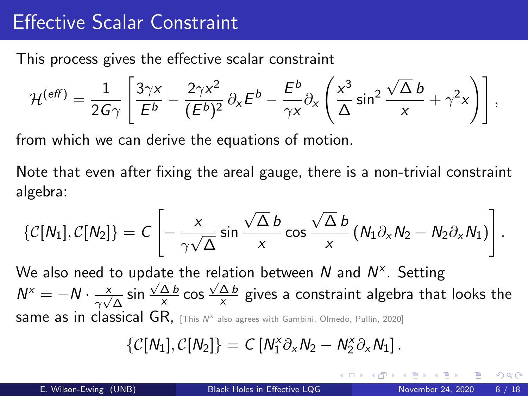### Effective Scalar Constraint

This process gives the effective scalar constraint

$$
\mathcal{H}^{(eff)} = \frac{1}{2G\gamma} \left[ \frac{3\gamma x}{E^b} - \frac{2\gamma x^2}{(E^b)^2} \partial_x E^b - \frac{E^b}{\gamma x} \partial_x \left( \frac{x^3}{\Delta} \sin^2 \frac{\sqrt{\Delta} b}{x} + \gamma^2 x \right) \right],
$$

from which we can derive the equations of motion.

Note that even after fixing the areal gauge, there is a non-trivial constraint algebra:

$$
\{\mathcal{C}[N_1],\mathcal{C}[N_2]\} = C\left[-\frac{x}{\gamma\sqrt{\Delta}}\sin\frac{\sqrt{\Delta}b}{x}\cos\frac{\sqrt{\Delta}b}{x}\left(N_1\partial_xN_2-N_2\partial_xN_1\right)\right].
$$

We also need to update the relation between N and  $N^{\times}$ . Setting  $N^x = -N \cdot \frac{x}{2}$  $\frac{x}{\gamma\sqrt{\Delta}}\sin\frac{\sqrt{\Delta} b}{x}$  $rac{\Delta b}{x}$  cos  $rac{\sqrt{\Delta b}}{x}$  $\frac{\Delta B}{\chi}$  gives a constraint algebra that looks the same as in classical GR, [This  $N^x$  also agrees with Gambini, Olmedo, Pullin, 2020]

$$
\{\mathcal{C}[N_1],\mathcal{C}[N_2]\} = C\left[N_1^{\times}\partial_x N_2 - N_2^{\times}\partial_x N_1\right].
$$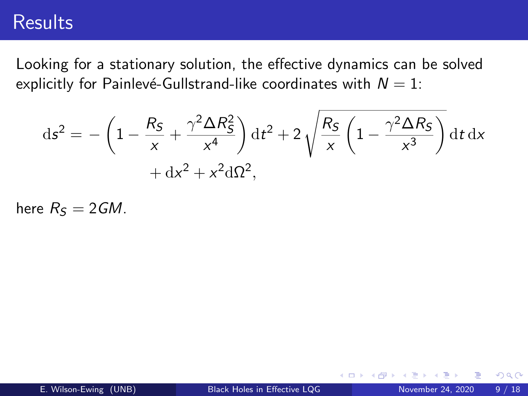#### **Results**

Looking for a stationary solution, the effective dynamics can be solved explicitly for Painlevé-Gullstrand-like coordinates with  $N = 1$ :

$$
ds^{2} = -\left(1 - \frac{R_{S}}{x} + \frac{\gamma^{2} \Delta R_{S}^{2}}{x^{4}}\right) dt^{2} + 2\sqrt{\frac{R_{S}}{x} \left(1 - \frac{\gamma^{2} \Delta R_{S}}{x^{3}}\right)} dt dx + dx^{2} + x^{2} d\Omega^{2},
$$

here  $R<sub>S</sub> = 2GM$ .

4 0 8

÷

 $QQ$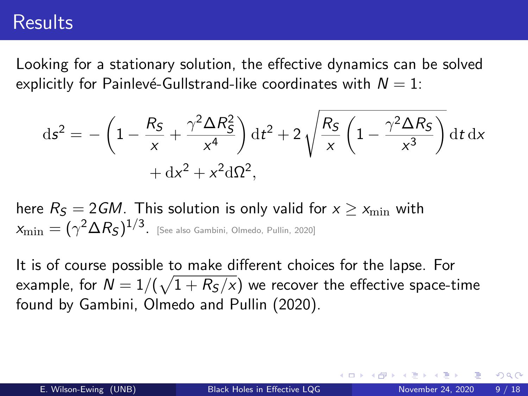#### **Results**

Looking for a stationary solution, the effective dynamics can be solved explicitly for Painlevé-Gullstrand-like coordinates with  $N = 1$ :

$$
ds^{2} = -\left(1 - \frac{R_{S}}{x} + \frac{\gamma^{2} \Delta R_{S}^{2}}{x^{4}}\right) dt^{2} + 2\sqrt{\frac{R_{S}}{x} \left(1 - \frac{\gamma^{2} \Delta R_{S}}{x^{3}}\right)} dt dx + dx^{2} + x^{2} d\Omega^{2},
$$

here  $R_{\rm S} = 2GM$ . This solution is only valid for  $x \geq x_{\rm min}$  with  $\alpha_{\rm min} = (\gamma^2 \Delta R_{\mathcal S})^{1/3}$ . [See also Gambini, Olmedo, Pullin, 2020]

<span id="page-17-0"></span>It is of course possible to make different choices for the lapse. For example, for  $N=1/(\sqrt{1+R_S/x})$  we recover the effective space-time found by Gambini, Olmedo and Pullin (2020).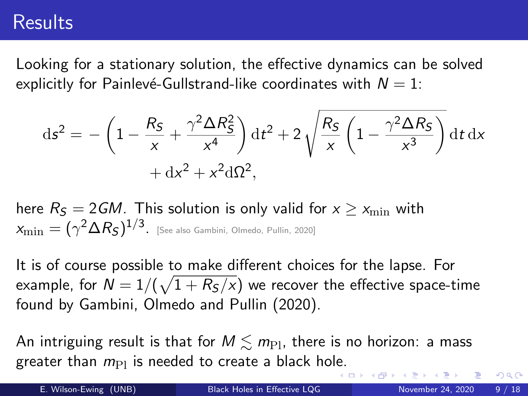#### **Results**

Looking for a stationary solution, the effective dynamics can be solved explicitly for Painlevé-Gullstrand-like coordinates with  $N = 1$ :

$$
ds^{2} = -\left(1 - \frac{R_{S}}{x} + \frac{\gamma^{2} \Delta R_{S}^{2}}{x^{4}}\right) dt^{2} + 2\sqrt{\frac{R_{S}}{x} \left(1 - \frac{\gamma^{2} \Delta R_{S}}{x^{3}}\right)} dt dx + dx^{2} + x^{2} d\Omega^{2},
$$

here  $R_{\rm S} = 2GM$ . This solution is only valid for  $x \geq x_{\rm min}$  with  $\alpha_{\rm min} = (\gamma^2 \Delta R_{\mathcal S})^{1/3}$ . [See also Gambini, Olmedo, Pullin, 2020]

It is of course possible to make different choices for the lapse. For example, for  $N=1/(\sqrt{1+R_S/x})$  we recover the effective space-time found by Gambini, Olmedo and Pullin (2020).

An intriguing result is that for  $M \leq m_{\text{Pl}}$ , there is no horizon: a mass greater than  $m_{\text{Pl}}$  is needed to create a black hol[e.](#page-17-0)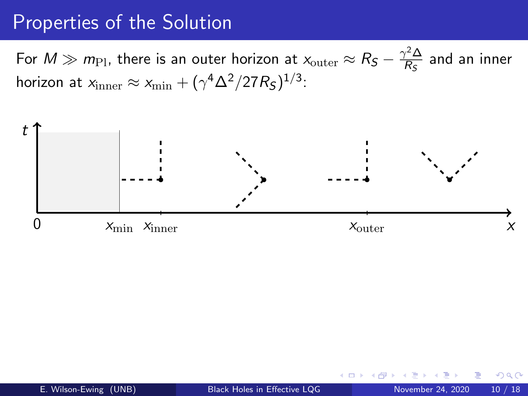#### Properties of the Solution

For  $M \gg m_{\rm Pl}$ , there is an outer horizon at  $x_{\rm outer} \approx R_S - \frac{\gamma^2 \Delta^2}{R_S}$  $\frac{y}{R_S}$  and an inner horizon at  $x_{\rm inner} \approx x_{\rm min} + (\gamma^4 \Delta^2/27 R_S)^{1/3}$ :

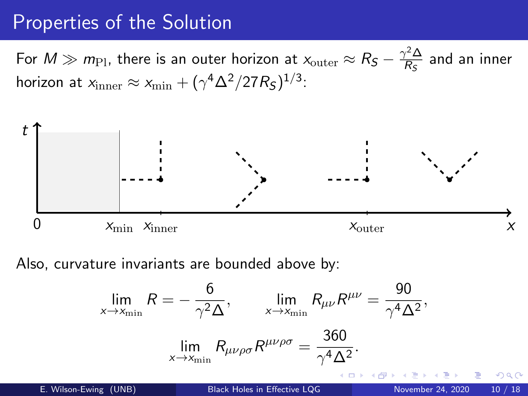#### Properties of the Solution

For  $M \gg m_{\rm Pl}$ , there is an outer horizon at  $x_{\rm outer} \approx R_S - \frac{\gamma^2 \Delta^2}{R_S}$  $\frac{y}{R_S}$  and an inner horizon at  $x_{\rm inner} \approx x_{\rm min} + (\gamma^4 \Delta^2/27 R_S)^{1/3}$ :



Also, curvature invariants are bounded above by:

$$
\lim_{x \to x_{\min}} R = -\frac{6}{\gamma^2 \Delta}, \qquad \lim_{x \to x_{\min}} R_{\mu\nu} R^{\mu\nu} = \frac{90}{\gamma^4 \Delta^2},
$$

$$
\lim_{x \to x_{\min}} R_{\mu\nu\rho\sigma} R^{\mu\nu\rho\sigma} = \frac{360}{\gamma^4 \Delta^2}.
$$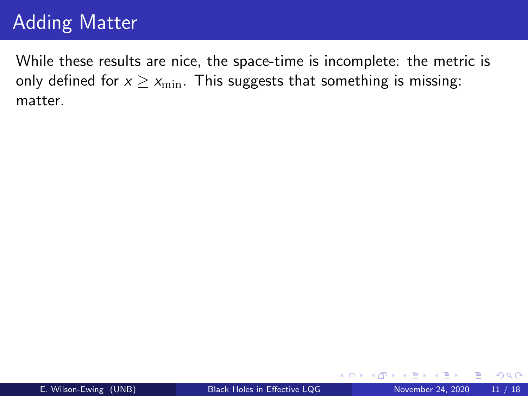## Adding Matter

While these results are nice, the space-time is incomplete: the metric is only defined for  $x \geq x_{\min}$ . This suggests that something is missing: matter.

4 **D** F

 $299$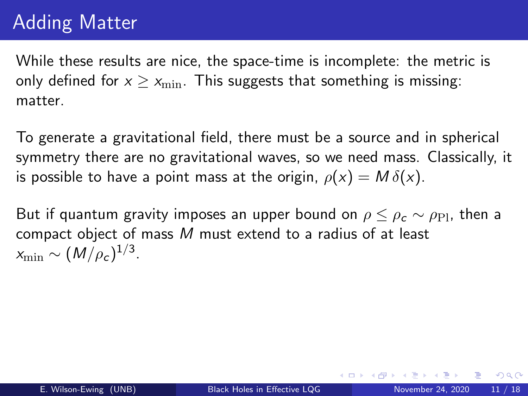# Adding Matter

While these results are nice, the space-time is incomplete: the metric is only defined for  $x \geq x_{\min}$ . This suggests that something is missing: matter.

To generate a gravitational field, there must be a source and in spherical symmetry there are no gravitational waves, so we need mass. Classically, it is possible to have a point mass at the origin,  $\rho(x) = M \delta(x)$ .

But if quantum gravity imposes an upper bound on  $\rho \leq \rho_c \sim \rho_{\rm Pl}$ , then a compact object of mass M must extend to a radius of at least  $x_{\rm min} \sim (M/\rho_c)^{1/3}.$ 

 $QQ$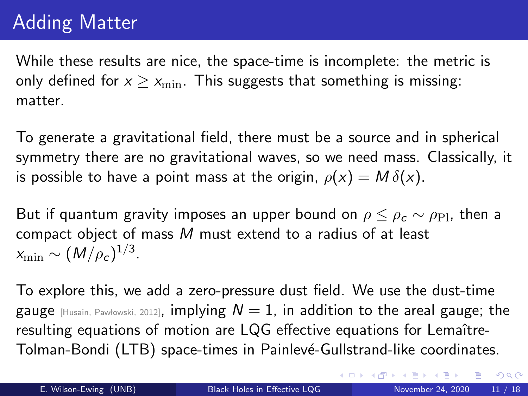# Adding Matter

While these results are nice, the space-time is incomplete: the metric is only defined for  $x \geq x_{\min}$ . This suggests that something is missing: matter.

To generate a gravitational field, there must be a source and in spherical symmetry there are no gravitational waves, so we need mass. Classically, it is possible to have a point mass at the origin,  $\rho(x) = M \delta(x)$ .

But if quantum gravity imposes an upper bound on  $\rho \leq \rho_c \sim \rho_{\rm Pl}$ , then a compact object of mass M must extend to a radius of at least  $x_{\rm min} \sim (M/\rho_c)^{1/3}.$ 

To explore this, we add a zero-pressure dust field. We use the dust-time gauge  $H_{\text{Ustain, Pawfowski, 2012}}$ , implying  $N = 1$ , in addition to the areal gauge; the resulting equations of motion are LQG effective equations for Lemaître-Tolman-Bondi (LTB) space-times in Painlevé-Gullstrand-like coordinates.

 $QQ$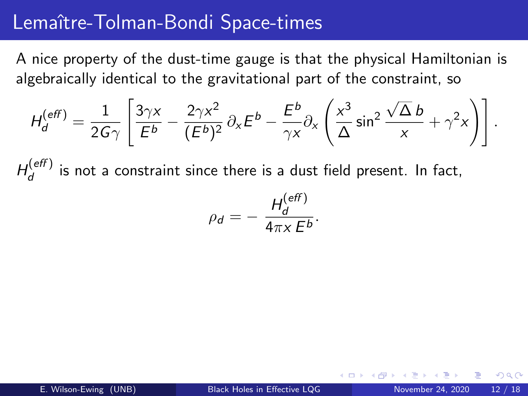#### Lemaître-Tolman-Bondi Space-times

A nice property of the dust-time gauge is that the physical Hamiltonian is algebraically identical to the gravitational part of the constraint, so

$$
H_d^{(eff)} = \frac{1}{2G\gamma} \left[ \frac{3\gamma x}{E^b} - \frac{2\gamma x^2}{(E^b)^2} \partial_x E^b - \frac{E^b}{\gamma x} \partial_x \left( \frac{x^3}{\Delta} \sin^2 \frac{\sqrt{\Delta} b}{x} + \gamma^2 x \right) \right].
$$

 $H_d^{(eff)}$  $\frac{d}{d}$  is not a constraint since there is a dust field present. In fact,

$$
\rho_d = -\frac{H_d^{(eff)}}{4\pi x E^b}.
$$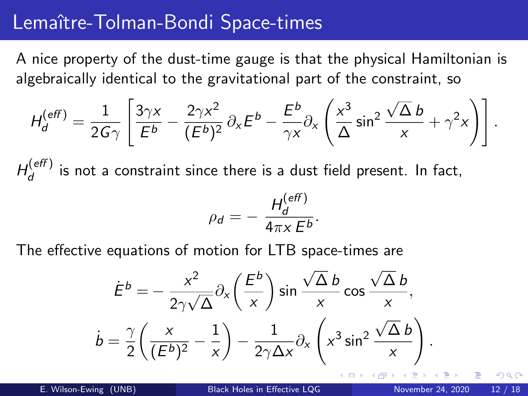#### Lemaître-Tolman-Bondi Space-times

A nice property of the dust-time gauge is that the physical Hamiltonian is algebraically identical to the gravitational part of the constraint, so

$$
H_d^{(eff)} = \frac{1}{2G\gamma} \left[ \frac{3\gamma x}{E^b} - \frac{2\gamma x^2}{(E^b)^2} \partial_x E^b - \frac{E^b}{\gamma x} \partial_x \left( \frac{x^3}{\Delta} \sin^2 \frac{\sqrt{\Delta} b}{x} + \gamma^2 x \right) \right].
$$

 $H_d^{(eff)}$  $\frac{d}{d}$  is not a constraint since there is a dust field present. In fact,

$$
\rho_d = -\frac{H_d^{(eff)}}{4\pi x E^b}.
$$

The effective equations of motion for LTB space-times are

$$
\dot{E}^b = -\frac{x^2}{2\gamma\sqrt{\Delta}}\partial_x \left(\frac{E^b}{x}\right) \sin\frac{\sqrt{\Delta}b}{x} \cos\frac{\sqrt{\Delta}b}{x},
$$

$$
\dot{b} = \frac{\gamma}{2} \left(\frac{x}{(E^b)^2} - \frac{1}{x}\right) - \frac{1}{2\gamma\Delta x} \partial_x \left(x^3 \sin^2\frac{\sqrt{\Delta}b}{x}\right)
$$

.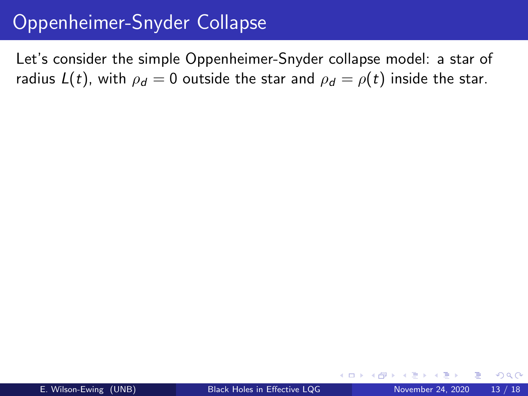#### Oppenheimer-Snyder Collapse

Let's consider the simple Oppenheimer-Snyder collapse model: a star of radius  $L(t)$ , with  $\rho_d = 0$  outside the star and  $\rho_d = \rho(t)$  inside the star.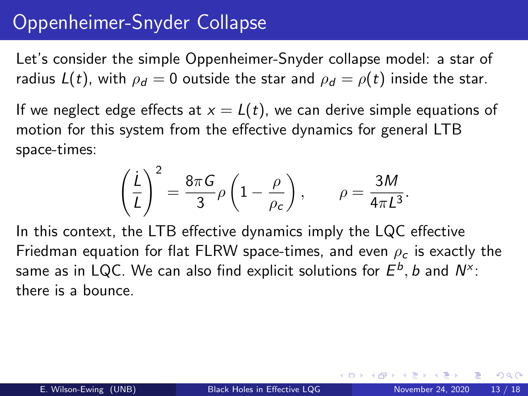## Oppenheimer-Snyder Collapse

Let's consider the simple Oppenheimer-Snyder collapse model: a star of radius  $L(t)$ , with  $\rho_d = 0$  outside the star and  $\rho_d = \rho(t)$  inside the star.

If we neglect edge effects at  $x = L(t)$ , we can derive simple equations of motion for this system from the effective dynamics for general LTB space-times:

$$
\left(\frac{\dot{L}}{L}\right)^2 = \frac{8\pi G}{3}\rho \left(1 - \frac{\rho}{\rho_c}\right), \qquad \rho = \frac{3M}{4\pi L^3}.
$$

In this context, the LTB effective dynamics imply the LQC effective Friedman equation for flat FLRW space-times, and even  $\rho_c$  is exactly the same as in LQC. We can also find explicit solutions for  $E^{b},$   $b$  and  $\mathsf{N}^{\times}$ : there is a bounce.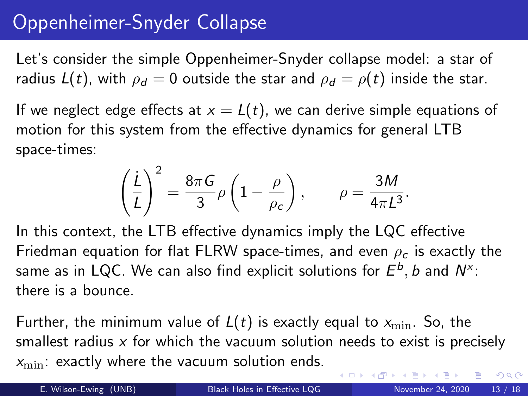## Oppenheimer-Snyder Collapse

Let's consider the simple Oppenheimer-Snyder collapse model: a star of radius  $L(t)$ , with  $\rho_d = 0$  outside the star and  $\rho_d = \rho(t)$  inside the star.

If we neglect edge effects at  $x = L(t)$ , we can derive simple equations of motion for this system from the effective dynamics for general LTB space-times:

$$
\left(\frac{\dot{L}}{L}\right)^2 = \frac{8\pi G}{3}\rho \left(1 - \frac{\rho}{\rho_c}\right), \qquad \rho = \frac{3M}{4\pi L^3}.
$$

In this context, the LTB effective dynamics imply the LQC effective Friedman equation for flat FLRW space-times, and even  $\rho_c$  is exactly the same as in LQC. We can also find explicit solutions for  $E^{b},$   $b$  and  $\mathsf{N}^{\times}$ : there is a bounce.

Further, the minimum value of  $L(t)$  is exactly equal to  $x_{\min}$ . So, the smallest radius  $x$  for which the vacuum solution needs to exist is precisely  $x_{\min}$ : exactly where the vacuum solution ends.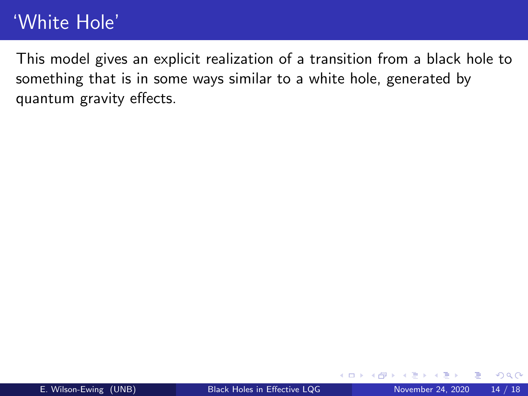# 'White Hole'

This model gives an explicit realization of a transition from a black hole to something that is in some ways similar to a white hole, generated by quantum gravity effects.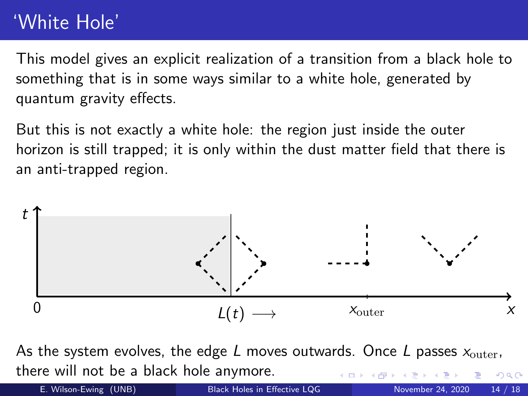# 'White Hole'

This model gives an explicit realization of a transition from a black hole to something that is in some ways similar to a white hole, generated by quantum gravity effects.

But this is not exactly a white hole: the region just inside the outer horizon is still trapped; it is only within the dust matter field that there is an anti-trapped region.



As the system evolves, the edge L moves outwards. Once L passes  $x_{\text{outer}}$ , there will not be a black hole anymore.  $\Omega$ 

E. Wilson-Ewing (UNB) [Black Holes in Effective LQG](#page-0-0) November 24, 2020 14 / 18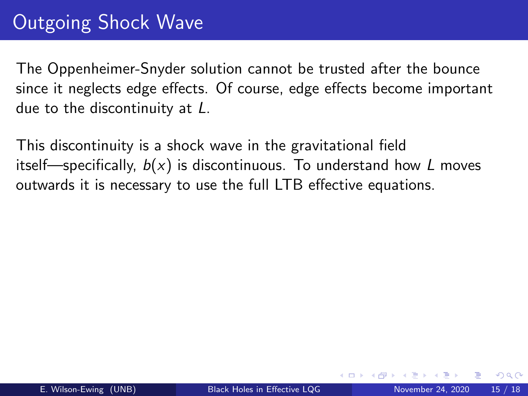# Outgoing Shock Wave

The Oppenheimer-Snyder solution cannot be trusted after the bounce since it neglects edge effects. Of course, edge effects become important due to the discontinuity at L.

This discontinuity is a shock wave in the gravitational field itself—specifically,  $b(x)$  is discontinuous. To understand how L moves outwards it is necessary to use the full LTB effective equations.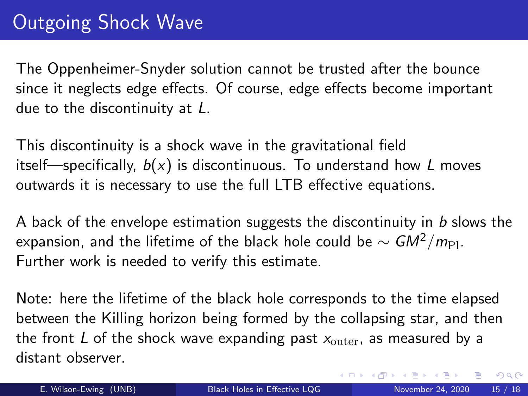# Outgoing Shock Wave

The Oppenheimer-Snyder solution cannot be trusted after the bounce since it neglects edge effects. Of course, edge effects become important due to the discontinuity at L.

This discontinuity is a shock wave in the gravitational field itself—specifically,  $b(x)$  is discontinuous. To understand how L moves outwards it is necessary to use the full LTB effective equations.

A back of the envelope estimation suggests the discontinuity in b slows the expansion, and the lifetime of the black hole could be  $\sim GM^2/m_{\rm Pl}$ . Further work is needed to verify this estimate.

Note: here the lifetime of the black hole corresponds to the time elapsed between the Killing horizon being formed by the collapsing star, and then the front L of the shock wave expanding past  $x_{\text{outer}}$ , as measured by a distant observer.

 $QQ$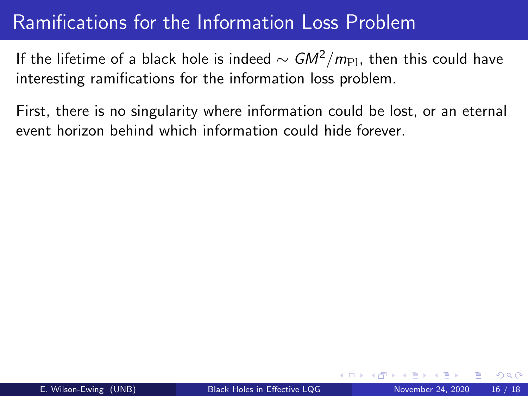## Ramifications for the Information Loss Problem

If the lifetime of a black hole is indeed  $\sim GM^2/m_{\rm Pl}$ , then this could have interesting ramifications for the information loss problem.

First, there is no singularity where information could be lost, or an eternal event horizon behind which information could hide forever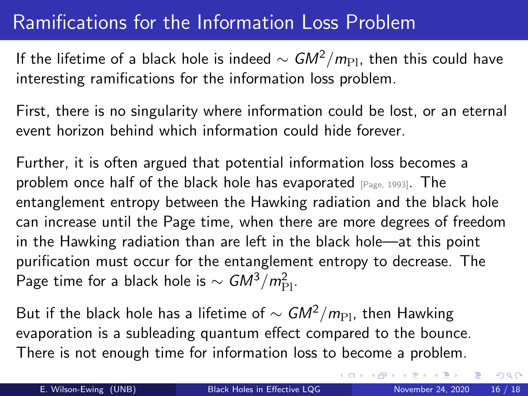## Ramifications for the Information Loss Problem

If the lifetime of a black hole is indeed  $\sim$  GM<sup>2</sup>/m<sub>Pl</sub>, then this could have interesting ramifications for the information loss problem.

First, there is no singularity where information could be lost, or an eternal event horizon behind which information could hide forever.

Further, it is often argued that potential information loss becomes a problem once half of the black hole has evaporated [Page, 1993]. The entanglement entropy between the Hawking radiation and the black hole can increase until the Page time, when there are more degrees of freedom in the Hawking radiation than are left in the black hole—at this point purification must occur for the entanglement entropy to decrease. The Page time for a black hole is  $\sim$   $GM^3/m_{\rm Pl}^2$ .

But if the black hole has a lifetime of  $\sim GM^2/m_{\rm Pl}$ , then Hawking evaporation is a subleading quantum effect compared to the bounce. There is not enough time for information loss to become a problem.

 $QQ$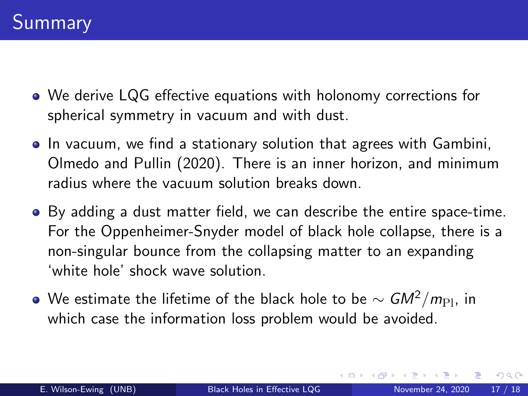- We derive LQG effective equations with holonomy corrections for spherical symmetry in vacuum and with dust.
- In vacuum, we find a stationary solution that agrees with Gambini, Olmedo and Pullin (2020). There is an inner horizon, and minimum radius where the vacuum solution breaks down.
- By adding a dust matter field, we can describe the entire space-time. For the Oppenheimer-Snyder model of black hole collapse, there is a non-singular bounce from the collapsing matter to an expanding 'white hole' shock wave solution.
- $\bullet$  We estimate the lifetime of the black hole to be  $\sim$  GM<sup>2</sup>/m<sub>Pl</sub>, in which case the information loss problem would be avoided.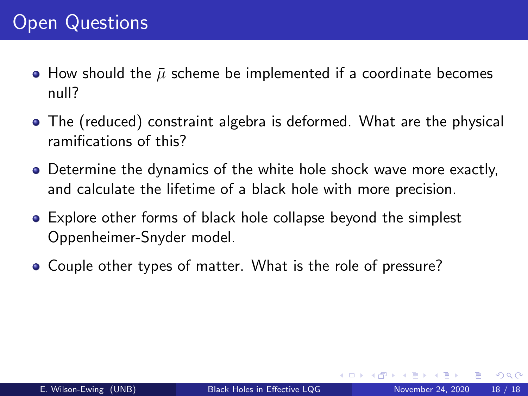- How should the  $\bar{\mu}$  scheme be implemented if a coordinate becomes null?
- The (reduced) constraint algebra is deformed. What are the physical ramifications of this?
- Determine the dynamics of the white hole shock wave more exactly, and calculate the lifetime of a black hole with more precision.
- Explore other forms of black hole collapse beyond the simplest Oppenheimer-Snyder model.
- Couple other types of matter. What is the role of pressure?